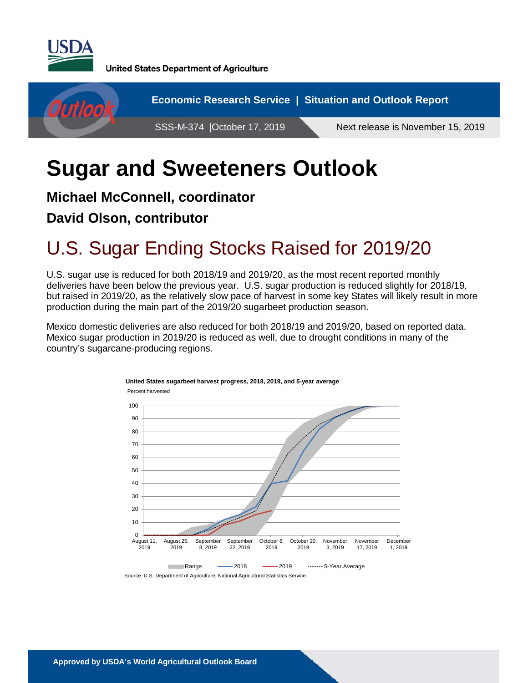

**United States Department of Agriculture** 



# **Sugar and Sweeteners Outlook**

#### **Michael McConnell, coordinator**

### **David Olson, contributor**

# U.S. Sugar Ending Stocks Raised for 2019/20

U.S. sugar use is reduced for both 2018/19 and 2019/20, as the most recent reported monthly deliveries have been below the previous year. U.S. sugar production is reduced slightly for 2018/19, but raised in 2019/20, as the relatively slow pace of harvest in some key States will likely result in more production during the main part of the 2019/20 sugarbeet production season.

Mexico domestic deliveries are also reduced for both 2018/19 and 2019/20, based on reported data. Mexico sugar production in 2019/20 is reduced as well, due to drought conditions in many of the country's sugarcane-producing regions.

**United States sugarbeet harvest progress, 2018, 2019, and 5-year average**



Source: U.S. Department of Agriculture, National Agricultural Statistics Service.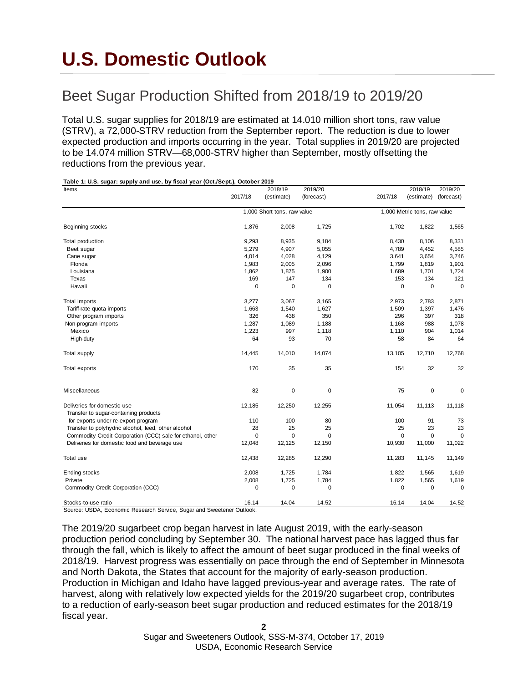# **U.S. Domestic Outlook**

**Table 1: U.S. sugar: supply and use, by fiscal year (Oct./Sept.), October 2019**

# Beet Sugar Production Shifted from 2018/19 to 2019/20

Total U.S. sugar supplies for 2018/19 are estimated at 14.010 million short tons, raw value (STRV), a 72,000-STRV reduction from the September report. The reduction is due to lower expected production and imports occurring in the year. Total supplies in 2019/20 are projected to be 14.074 million STRV—68,000-STRV higher than September, mostly offsetting the reductions from the previous year.

| .<br>. о.о. зачит<br>Items                                 |          | 2018/19                     | 2019/20     |             | 2018/19                      | 2019/20     |
|------------------------------------------------------------|----------|-----------------------------|-------------|-------------|------------------------------|-------------|
|                                                            | 2017/18  | (estimate)                  | (forecast)  | 2017/18     | (estimate)                   | (forecast)  |
|                                                            |          | 1,000 Short tons, raw value |             |             | 1,000 Metric tons, raw value |             |
| Beginning stocks                                           | 1,876    | 2,008                       | 1,725       | 1,702       | 1,822                        | 1,565       |
| Total production                                           | 9,293    | 8,935                       | 9,184       | 8,430       | 8,106                        | 8,331       |
| Beet sugar                                                 | 5,279    | 4,907                       | 5,055       | 4,789       | 4,452                        | 4,585       |
| Cane sugar                                                 | 4,014    | 4,028                       | 4,129       | 3,641       | 3,654                        | 3,746       |
| Florida                                                    | 1,983    | 2,005                       | 2,096       | 1,799       | 1,819                        | 1,901       |
| Louisiana                                                  | 1,862    | 1,875                       | 1,900       | 1,689       | 1,701                        | 1,724       |
| Texas                                                      | 169      | 147                         | 134         | 153         | 134                          | 121         |
| Hawaii                                                     | 0        | 0                           | 0           | 0           | 0                            | 0           |
| Total imports                                              | 3,277    | 3,067                       | 3,165       | 2,973       | 2,783                        | 2,871       |
| Tariff-rate quota imports                                  | 1,663    | 1,540                       | 1,627       | 1,509       | 1,397                        | 1,476       |
| Other program imports                                      | 326      | 438                         | 350         | 296         | 397                          | 318         |
| Non-program imports                                        | 1,287    | 1,089                       | 1,188       | 1,168       | 988                          | 1,078       |
| Mexico                                                     | 1,223    | 997                         | 1,118       | 1,110       | 904                          | 1,014       |
| High-duty                                                  | 64       | 93                          | 70          | 58          | 84                           | 64          |
| <b>Total supply</b>                                        | 14,445   | 14,010                      | 14,074      | 13,105      | 12,710                       | 12,768      |
| Total exports                                              | 170      | 35                          | 35          | 154         | 32                           | 32          |
| Miscellaneous                                              | 82       | 0                           | $\pmb{0}$   | 75          | $\pmb{0}$                    | $\mathbf 0$ |
| Deliveries for domestic use                                | 12,185   | 12,250                      | 12,255      | 11,054      | 11,113                       | 11,118      |
| Transfer to sugar-containing products                      |          |                             |             |             |                              |             |
| for exports under re-export program                        | 110      | 100                         | 80          | 100         | 91                           | 73          |
| Transfer to polyhydric alcohol, feed, other alcohol        | 28       | 25                          | 25          | 25          | 23                           | 23          |
| Commodity Credit Corporation (CCC) sale for ethanol, other | 0        | 0                           | $\mathbf 0$ | $\mathbf 0$ | $\mathbf 0$                  | $\Omega$    |
| Deliveries for domestic food and beverage use              | 12,048   | 12,125                      | 12,150      | 10,930      | 11,000                       | 11,022      |
| Total use                                                  | 12,438   | 12,285                      | 12,290      | 11,283      | 11,145                       | 11,149      |
| Ending stocks                                              | 2,008    | 1,725                       | 1,784       | 1,822       | 1,565                        | 1,619       |
| Private                                                    | 2,008    | 1,725                       | 1,784       | 1,822       | 1,565                        | 1,619       |
| Commodity Credit Corporation (CCC)                         | $\Omega$ | $\mathbf 0$                 | 0           | 0           | 0                            | $\Omega$    |
| Stocks-to-use ratio                                        | 16.14    | 14.04                       | 14.52       | 16.14       | 14.04                        | 14.52       |

Source: USDA, Economic Research Service, Sugar and Sweetener Outlook.

The 2019/20 sugarbeet crop began harvest in late August 2019, with the early-season production period concluding by September 30. The national harvest pace has lagged thus far through the fall, which is likely to affect the amount of beet sugar produced in the final weeks of 2018/19. Harvest progress was essentially on pace through the end of September in Minnesota and North Dakota, the States that account for the majority of early-season production. Production in Michigan and Idaho have lagged previous-year and average rates. The rate of harvest, along with relatively low expected yields for the 2019/20 sugarbeet crop, contributes to a reduction of early-season beet sugar production and reduced estimates for the 2018/19 fiscal year.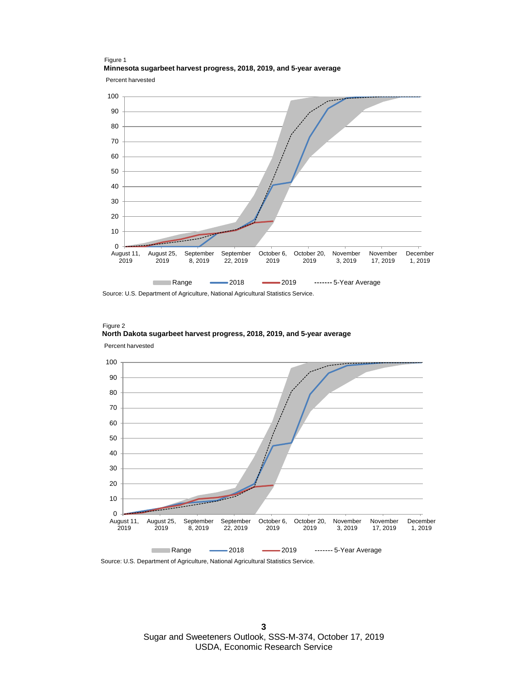Percent harvested Figure 1 **Minnesota sugarbeet harvest progress, 2018, 2019, and 5-year average**



Source: U.S. Department of Agriculture, National Agricultural Statistics Service.





Source: U.S. Department of Agriculture, National Agricultural Statistics Service.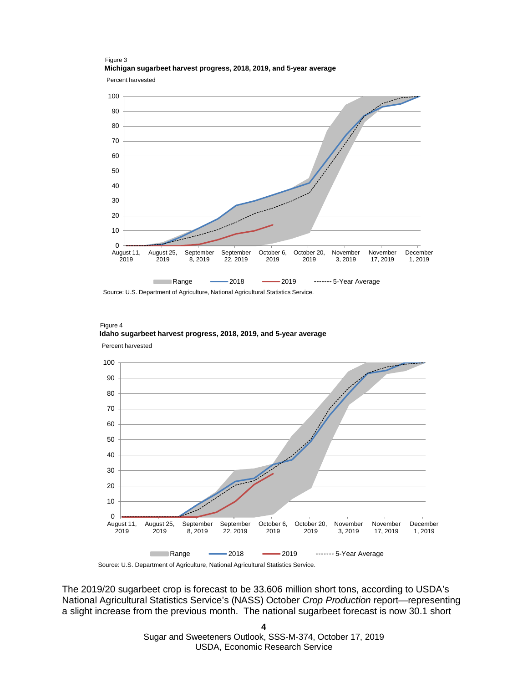Figure 3 **Michigan sugarbeet harvest progress, 2018, 2019, and 5-year average**

Percent harvested



Source: U.S. Department of Agriculture, National Agricultural Statistics Service.



Figure 4 **Idaho sugarbeet harvest progress, 2018, 2019, and 5-year average**

Source: U.S. Department of Agriculture, National Agricultural Statistics Service.

The 2019/20 sugarbeet crop is forecast to be 33.606 million short tons, according to USDA's National Agricultural Statistics Service's (NASS) October *Crop Production* report—representing a slight increase from the previous month. The national sugarbeet forecast is now 30.1 short

> **4** Sugar and Sweeteners Outlook, SSS-M-374, October 17, 2019 USDA, Economic Research Service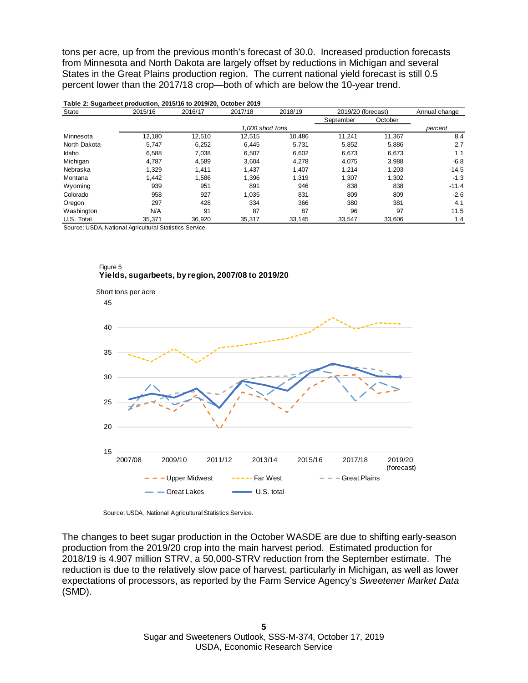tons per acre, up from the previous month's forecast of 30.0. Increased production forecasts from Minnesota and North Dakota are largely offset by reductions in Michigan and several States in the Great Plains production region. The current national yield forecast is still 0.5 percent lower than the 2017/18 crop—both of which are below the 10-year trend.

| State        | 2015/16 | 2016/17 | 2017/18          | 2018/19   | 2019/20 (forecast) | Annual change |         |
|--------------|---------|---------|------------------|-----------|--------------------|---------------|---------|
|              |         |         |                  | September | October            |               |         |
|              |         |         | 1.000 short tons |           |                    |               | percent |
| Minnesota    | 12.180  | 12.510  | 12.515           | 10.486    | 11.241             | 11.367        | 8.4     |
| North Dakota | 5,747   | 6,252   | 6.445            | 5.731     | 5,852              | 5.886         | 2.7     |
| Idaho        | 6,588   | 7.038   | 6,507            | 6.602     | 6,673              | 6.673         | 1.1     |
| Michigan     | 4,787   | 4,589   | 3,604            | 4,278     | 4,075              | 3.988         | $-6.8$  |
| Nebraska     | 1,329   | 1.411   | 1,437            | 1.407     | 1,214              | 1,203         | $-14.5$ |
| Montana      | 1,442   | 1,586   | 1,396            | 1.319     | 1,307              | 1,302         | $-1.3$  |
| Wyoming      | 939     | 951     | 891              | 946       | 838                | 838           | $-11.4$ |
| Colorado     | 958     | 927     | 1.035            | 831       | 809                | 809           | $-2.6$  |
| Oregon       | 297     | 428     | 334              | 366       | 380                | 381           | 4.1     |
| Washington   | N/A     | 91      | 87               | 87        | 96                 | 97            | 11.5    |
| U.S. Total   | 35.371  | 36.920  | 35,317           | 33,145    | 33.547             | 33,606        | 1.4     |

#### **Table 2: Sugarbeet production, 2015/16 to 2019/20, October 2019**

Source: USDA, National Agricultural Statistics Service.





Source: USDA, National Agricultural Statistics Service.

The changes to beet sugar production in the October WASDE are due to shifting early-season production from the 2019/20 crop into the main harvest period. Estimated production for 2018/19 is 4.907 million STRV, a 50,000-STRV reduction from the September estimate. The reduction is due to the relatively slow pace of harvest, particularly in Michigan, as well as lower expectations of processors, as reported by the Farm Service Agency's *Sweetener Market Data* (SMD).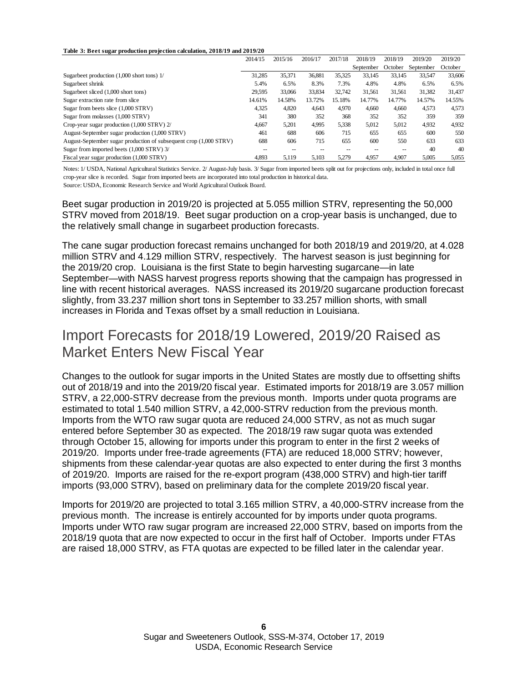#### **Table 3: Beet sugar production projection calculation, 2018/19 and 2019/20**

|                                                                   | 2014/15 | 2015/16 | 2016/17 | 2017/18 | 2018/19   | 2018/19 | 2019/20   | 2019/20 |
|-------------------------------------------------------------------|---------|---------|---------|---------|-----------|---------|-----------|---------|
|                                                                   |         |         |         |         | September | October | September | October |
| Sugarbeet production (1,000 short tons) 1/                        | 31,285  | 35.371  | 36,881  | 35.325  | 33.145    | 33.145  | 33,547    | 33,606  |
| Sugarbeet shrink                                                  | 5.4%    | 6.5%    | 8.3%    | 7.3%    | 4.8%      | 4.8%    | 6.5%      | 6.5%    |
| Sugarbeet sliced (1,000 short tons)                               | 29.595  | 33,066  | 33,834  | 32.742  | 31,561    | 31.561  | 31,382    | 31,437  |
| Sugar extraction rate from slice                                  | 14.61%  | 14.58%  | 13.72%  | 15.18%  | 14.77%    | 14.77%  | 14.57%    | 14.55%  |
| Sugar from beets slice (1,000 STRV)                               | 4,325   | 4.820   | 4.643   | 4.970   | 4.660     | 4.660   | 4,573     | 4,573   |
| Sugar from molasses (1,000 STRV)                                  | 341     | 380     | 352     | 368     | 352       | 352     | 359       | 359     |
| Crop-year sugar production (1,000 STRV) 2/                        | 4,667   | 5,201   | 4,995   | 5,338   | 5,012     | 5,012   | 4,932     | 4,932   |
| August-September sugar production (1,000 STRV)                    | 461     | 688     | 606     | 715     | 655       | 655     | 600       | 550     |
| August-September sugar production of subsequent crop (1,000 STRV) | 688     | 606     | 715     | 655     | 600       | 550     | 633       | 633     |
| Sugar from imported beets (1,000 STRV) 3/                         | $-$     |         |         |         |           |         | 40        | 40      |
| Fiscal year sugar production (1,000 STRV)                         | 4.893   | 5.119   | 5,103   | 5.279   | 4.957     | 4.907   | 5.005     | 5,055   |

Notes: 1/ USDA, National Agricultural Statistics Service. 2/ August-July basis. 3/ Sugar from imported beets split out for projections only, included in total once full crop-year slice is recorded. Sugar from imported beets are incorporated into total production in historical data.

Source: USDA, Economic Research Service and World Agricultural Outlook Board.

Beet sugar production in 2019/20 is projected at 5.055 million STRV, representing the 50,000 STRV moved from 2018/19. Beet sugar production on a crop-year basis is unchanged, due to the relatively small change in sugarbeet production forecasts.

The cane sugar production forecast remains unchanged for both 2018/19 and 2019/20, at 4.028 million STRV and 4.129 million STRV, respectively. The harvest season is just beginning for the 2019/20 crop. Louisiana is the first State to begin harvesting sugarcane—in late September—with NASS harvest progress reports showing that the campaign has progressed in line with recent historical averages. NASS increased its 2019/20 sugarcane production forecast slightly, from 33.237 million short tons in September to 33.257 million shorts, with small increases in Florida and Texas offset by a small reduction in Louisiana.

### Import Forecasts for 2018/19 Lowered, 2019/20 Raised as Market Enters New Fiscal Year

Changes to the outlook for sugar imports in the United States are mostly due to offsetting shifts out of 2018/19 and into the 2019/20 fiscal year. Estimated imports for 2018/19 are 3.057 million STRV, a 22,000-STRV decrease from the previous month. Imports under quota programs are estimated to total 1.540 million STRV, a 42,000-STRV reduction from the previous month. Imports from the WTO raw sugar quota are reduced 24,000 STRV, as not as much sugar entered before September 30 as expected. The 2018/19 raw sugar quota was extended through October 15, allowing for imports under this program to enter in the first 2 weeks of 2019/20. Imports under free-trade agreements (FTA) are reduced 18,000 STRV; however, shipments from these calendar-year quotas are also expected to enter during the first 3 months of 2019/20. Imports are raised for the re-export program (438,000 STRV) and high-tier tariff imports (93,000 STRV), based on preliminary data for the complete 2019/20 fiscal year.

Imports for 2019/20 are projected to total 3.165 million STRV, a 40,000-STRV increase from the previous month. The increase is entirely accounted for by imports under quota programs. Imports under WTO raw sugar program are increased 22,000 STRV, based on imports from the 2018/19 quota that are now expected to occur in the first half of October. Imports under FTAs are raised 18,000 STRV, as FTA quotas are expected to be filled later in the calendar year.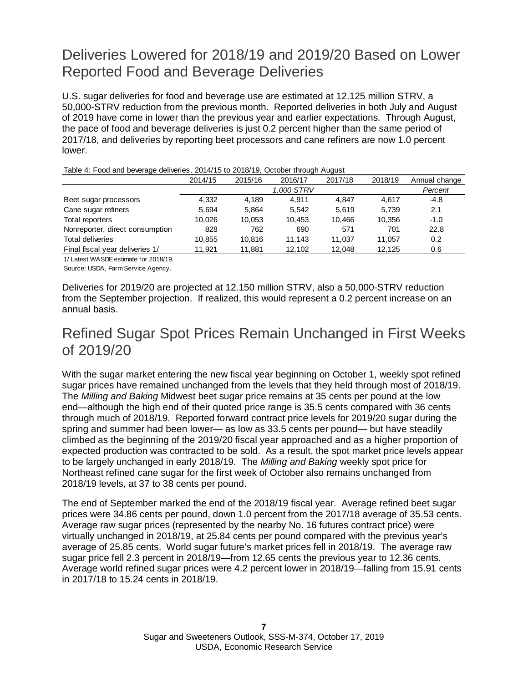# Deliveries Lowered for 2018/19 and 2019/20 Based on Lower Reported Food and Beverage Deliveries

U.S. sugar deliveries for food and beverage use are estimated at 12.125 million STRV, a 50,000-STRV reduction from the previous month. Reported deliveries in both July and August of 2019 have come in lower than the previous year and earlier expectations. Through August, the pace of food and beverage deliveries is just 0.2 percent higher than the same period of 2017/18, and deliveries by reporting beet processors and cane refiners are now 1.0 percent lower.

| Table 4: Food and beverage deliveries, 2014/15 to 2018/19, October through August |  |
|-----------------------------------------------------------------------------------|--|
|                                                                                   |  |

|                                 | 2014/15 | 2015/16 | 2016/17 | 2017/18 | 2018/19 | Annual change |
|---------------------------------|---------|---------|---------|---------|---------|---------------|
|                                 |         | Percent |         |         |         |               |
| Beet sugar processors           | 4.332   | 4.189   | 4.911   | 4.847   | 4.617   | $-4.8$        |
| Cane sugar refiners             | 5.694   | 5.864   | 5.542   | 5.619   | 5.739   | 2.1           |
| Total reporters                 | 10.026  | 10.053  | 10.453  | 10.466  | 10.356  | $-1.0$        |
| Nonreporter, direct consumption | 828     | 762     | 690     | 571     | 701     | 22.8          |
| Total deliveries                | 10.855  | 10.816  | 11.143  | 11.037  | 11.057  | 0.2           |
| Final fiscal year deliveries 1/ | 11.921  | 11.881  | 12,102  | 12,048  | 12,125  | 0.6           |

1/ Latest WASDE estimate for 2018/19.

Source: USDA, Farm Service Agency.

Deliveries for 2019/20 are projected at 12.150 million STRV, also a 50,000-STRV reduction from the September projection. If realized, this would represent a 0.2 percent increase on an annual basis.

# Refined Sugar Spot Prices Remain Unchanged in First Weeks of 2019/20

With the sugar market entering the new fiscal year beginning on October 1, weekly spot refined sugar prices have remained unchanged from the levels that they held through most of 2018/19. The *Milling and Baking* Midwest beet sugar price remains at 35 cents per pound at the low end—although the high end of their quoted price range is 35.5 cents compared with 36 cents through much of 2018/19. Reported forward contract price levels for 2019/20 sugar during the spring and summer had been lower— as low as 33.5 cents per pound— but have steadily climbed as the beginning of the 2019/20 fiscal year approached and as a higher proportion of expected production was contracted to be sold. As a result, the spot market price levels appear to be largely unchanged in early 2018/19. The *Milling and Baking* weekly spot price for Northeast refined cane sugar for the first week of October also remains unchanged from 2018/19 levels, at 37 to 38 cents per pound.

The end of September marked the end of the 2018/19 fiscal year. Average refined beet sugar prices were 34.86 cents per pound, down 1.0 percent from the 2017/18 average of 35.53 cents. Average raw sugar prices (represented by the nearby No. 16 futures contract price) were virtually unchanged in 2018/19, at 25.84 cents per pound compared with the previous year's average of 25.85 cents. World sugar future's market prices fell in 2018/19. The average raw sugar price fell 2.3 percent in 2018/19—from 12.65 cents the previous year to 12.36 cents. Average world refined sugar prices were 4.2 percent lower in 2018/19—falling from 15.91 cents in 2017/18 to 15.24 cents in 2018/19.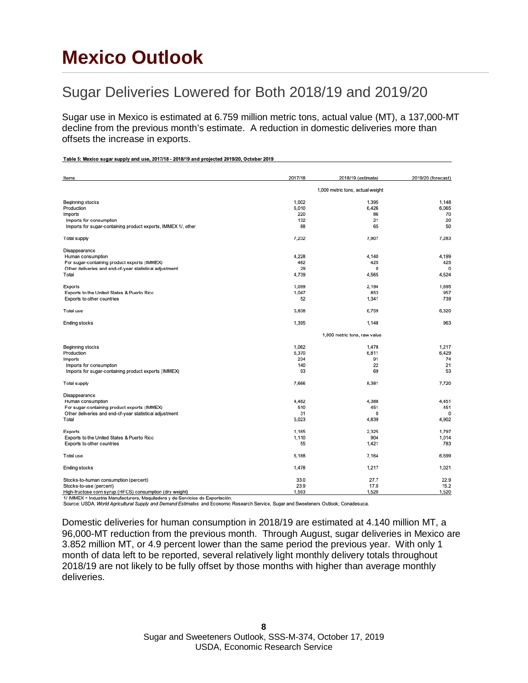# **Mexico Outlook**

Table 5: Mexico sugar supply and use, 2017/18 - 2018/19 and projected 2019/20, October 2019

## Sugar Deliveries Lowered for Both 2018/19 and 2019/20

Sugar use in Mexico is estimated at 6.759 million metric tons, actual value (MT), a 137,000-MT decline from the previous month's estimate. A reduction in domestic deliveries more than offsets the increase in exports.

| Items                                                         | 2017/18                          | 2018/19 (estimate) | 2019/20 (forecast) |  |  |  |
|---------------------------------------------------------------|----------------------------------|--------------------|--------------------|--|--|--|
|                                                               | 1,000 metric tons, actual weight |                    |                    |  |  |  |
| Beginning stocks                                              | 1,002                            | 1,395              | 1.148              |  |  |  |
| Production                                                    | 6,010                            | 6,426              | 6,065              |  |  |  |
| Imports                                                       | 220                              | 86                 | 70                 |  |  |  |
| Imports for consumption                                       | 132                              | 21                 | 20                 |  |  |  |
| Imports for sugar-containing product exports, IMMEX 1/, other | 88                               | 65                 | 50                 |  |  |  |
| <b>Total supply</b>                                           | 7,232                            | 7,907              | 7,283              |  |  |  |
| Disappearance                                                 |                                  |                    |                    |  |  |  |
| Human consumption                                             | 4,228                            | 4,140              | 4,199              |  |  |  |
| For sugar-containing product exports (IMMEX)                  | 482                              | 425                | 425                |  |  |  |
| Other deliveries and end-of-year statistical adjustment       | 29                               | 0                  | $\mathbf 0$        |  |  |  |
| Total                                                         | 4,739                            | 4,565              | 4,624              |  |  |  |
| Exports                                                       | 1,099                            | 2,194              | 1,695              |  |  |  |
| Exports to the United States & Puerto Rico                    | 1,047                            | 853                | 957                |  |  |  |
| Exports to other countries                                    | 52                               | 1,341              | 739                |  |  |  |
| Total use                                                     | 5,838                            | 6,759              | 6,320              |  |  |  |
| Ending stocks                                                 | 1,395                            | 1,148              | 963                |  |  |  |
|                                                               | 1,000 metric tons, raw value     |                    |                    |  |  |  |
| Beginning stocks                                              | 1,062                            | 1,478              | 1,217              |  |  |  |
| Production                                                    | 6,370                            | 6,811              | 6,429              |  |  |  |
| Imports                                                       | 234                              | 91                 | 74                 |  |  |  |
| Imports for consumption                                       | 140                              | 22                 | 21                 |  |  |  |
| Imports for sugar-containing product exports (IMMEX)          | 93                               | 69                 | 53                 |  |  |  |
| <b>Total supply</b>                                           | 7,666                            | 8,381              | 7.720              |  |  |  |
| Disappearance                                                 |                                  |                    |                    |  |  |  |
| Human consumption                                             | 4,482                            | 4,388              | 4,451              |  |  |  |
| For sugar-containing product exports (IMMEX)                  | 510                              | 451                | 451                |  |  |  |
| Other deliveries and end-of-year statistical adjustment       | 31                               | 0                  | $\mathbf 0$        |  |  |  |
| Total                                                         | 5,023                            | 4,839              | 4.902              |  |  |  |
| Exports                                                       | 1,165                            | 2,325              | 1,797              |  |  |  |
| Exports to the United States & Puerto Rico                    | 1,110                            | 904                | 1.014              |  |  |  |
| Exports to other countries                                    | 55                               | 1,421              | 783                |  |  |  |
| Total use                                                     | 6,188                            | 7,164              | 6,699              |  |  |  |
| Ending stocks                                                 | 1,478                            | 1,217              | 1,021              |  |  |  |
| Stocks-to-human consumption (percent)                         | 33.0                             | 27.7               | 22.9               |  |  |  |
| Stocks-to-use (percent)                                       | 23.9                             | 17.0               | 15.2               |  |  |  |
| High-fructose corn syrup (HFCS) consumption (dry weight)      | 1.593                            | 1,520              | 1,520              |  |  |  |

1/ IMMEX = Industria Manufacturera, Maquiladora y de Servicios de Exportación.<br>Source: USDA, World Agricultural Supply and Demand Estimates and Economic Research Service, Sugar and Sweeteners Outlook; Conadesuca.

Domestic deliveries for human consumption in 2018/19 are estimated at 4.140 million MT, a 96,000-MT reduction from the previous month. Through August, sugar deliveries in Mexico are 3.852 million MT, or 4.9 percent lower than the same period the previous year. With only 1 month of data left to be reported, several relatively light monthly delivery totals throughout 2018/19 are not likely to be fully offset by those months with higher than average monthly deliveries.